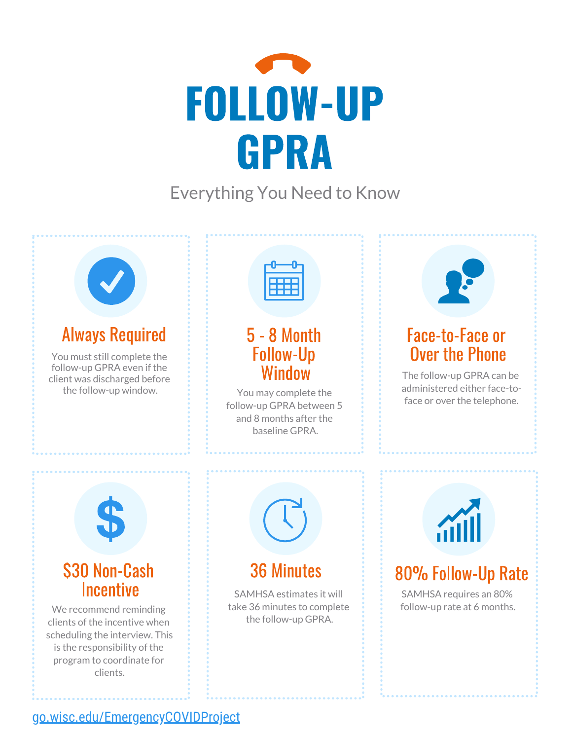

Everything You Need to Know



#### [go.wisc.edu/EmergencyCOVIDProject](http://go.wisc.edu/EmergencyCOVIDProject)